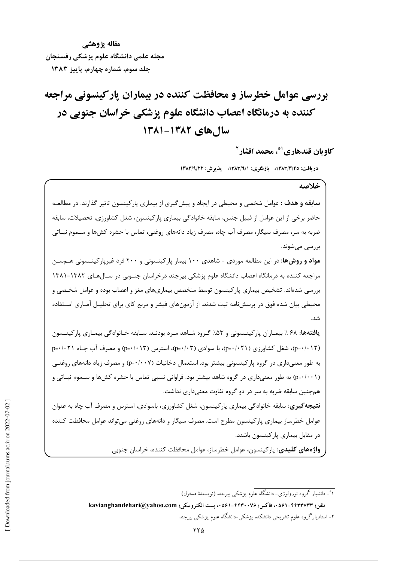مقاله پژوهشے مجله علمی دانشگاه علوم یزشکی رفسنجان جلد سوم، شماره چهارم، پاییز ۱۳۸۳

# بررسی عوامل خطرساز و محافظت کننده در بیماران یارکینسونی مراجعه کننده به درمانگاه اعصاب دانشگاه علوم پزشکی خراسان جنوبی در سال های ۱۳۸۲-۱۳۸۱

كاو بان قندهاري <sup>(\*</sup>، محمد افشار <sup>٢</sup>

دريافت: ١٣٨٣/٣/٢٥، بازنگري: ١٣٨٣/٩/١، پذيرش: ١٣٨٣/٩/٢٢

### خلاصه

**سابقه و هدف** : عوامل شخصی و محیطی در ایجاد و پیش گیری از بیماری پارکینسون تاثیر گذارند. در مطالعـه حاضر برخی از این عوامل از قبیل جنس، سابقه خانوادگی بیماری پارکینسون، شغل کشاورزی، تحصیلات، سابقه ضربه به سر، مصرف سیگار، مصرف آب چاه، مصرف زیاد دانههای روغنی، تماس با حشره کشها و ســموم نبــاتی بررسے مے شوند.

مواد و روشها: در این مطالعه موردی - شاهدی ۱۰۰ بیمار پارکینسونی و ۲۰۰ فرد غیرپارکینــسونی هــمســن مراجعه کننده به درمانگاه اعصاب دانشگاه علوم پزشکی بیرجند درخراسان جنوبی در سـالهـای ۱۳۸۲-۱۳۸۱ بررسی شدهاند. تشخیص بیماری پارکینسون توسط متخصص بیماریهای مغز و اعصاب بوده و عوامل شخـصی و محیطی بیان شده فوق در پرسش نامه ثبت شدند. از آزمونهای فیشر و مربع کای برای تحلیـل آمـاری اســتفاده شد.

يافتهها: ۶۸ ٪ بيمـاران پاركينـسونى و ۵۳٪ گـروه شـاهد مـرد بودنـد. سـابقه خـانوادگى بيمـارى پاركينـسون (p=٠/٠١٢)، شغل کشاورزی (p=٠/٠٢١)، با سوادی (p=٠/٠٣)، استرس (p=٠/٠١٣) و مصرف آب چـاه p−۰/۰۲۱ به طور معنی داری در گروه پارکینسونی بیشتر بود. استعمال دخانیات (p=۰/۰۰۷) و مصرف زیاد دانههای روغنبی (p=۰/۰۰۱) به طور معنیداری در گروه شاهد بیشتر بود. فراوانی نسبی تماس با حشره کشها و سـموم نبـاتی و همچنین سابقه ضربه به سر در دو گروه تفاوت معنیداری نداشت. **نتیجهگیری:** سابقه خانوادگی بیماری پارکینسون، شغل کشاورزی، باسوادی، استرس و مصرف آب چاه به عنوان عوامل خطرساز بیماری پارکینسون مطرح است. مصرف سیگار و دانههای روغنی می تواند عوامل محافظت کننده در مقابل بیماری یارکینسون باشند.

**واژههای کلیدی**: پارکینسون، عوامل خطرساز، عوامل محافظت کننده، خراسان جنوبی

۱\*- دانشیار گروه نورولوژی- دانشگاه علوم پزشکی بیرجند (نویسندهٔ مسئول) تلفن: hasianghandehari@yahoo.com ، يست الكترونيكي: kavianghandehari@yahoo.com ۲- استادیارگروه علوم تشریحی دانشکده پزشکی-دانشگاه علوم پزشکی بیرجند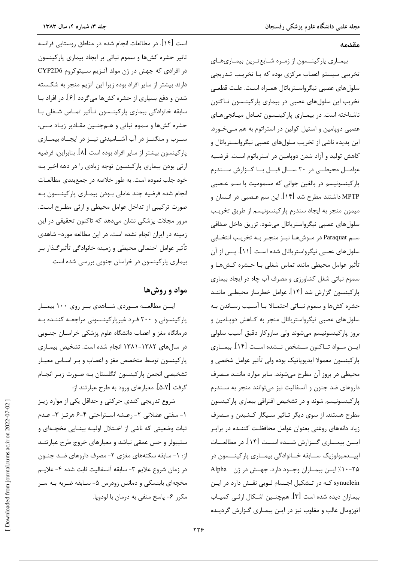#### مقدمه

بیمـاری پارکینــسون از زمـره شـایعترین بیمـاریهـای تخریبی سیستم اعصاب مرکزی بوده که بـا تخریـب تـدریجی سلولهای عصبی نیگرواسـتریاتال همـراه اسـت. علـت قطعـی تخریب این سلولهای عصبی در بیماری پارکینــسون تــاکنون ناشناخته است. در بیمـاری پارکینـسون تعـادل میـانجیهـای عصبي دوپامين و استيل كولين در استراتوم به هم مـيخـورد. این پدیده ناشی از تخریب سلولهای عصبی نیگرواســتریاتال و كاهش توليد و آزاد شدن دوپامين در استرياتوم است. فرضيه عوامــل محیطــی در ۲۰ ســال قبــل بــا گــزارش ســندرم پارکینسونیسم در بالغین جوانی که مسمومیت با سـم عـصبی MPTP داشتند مطرح شد [۱۴]. این سم عـصبی در انـسان و میمون منجر به ایجاد سندرم یارکینسونیسم از طریق تخریب سلول هاي عصبي نيگرواسترياتال مي شود. تزريق داخل صفاقي سـم Paraquat در مـوشهـا نيـز منجـر بـه تخريـب انتخـابي سلول های عصبی نیگرواستریاتال شده اسـت [۱۱]. پـس از آن تأثير عوامل محيطي مانند تماس شغلي بـا حـشره كـش&ـا و سموم نباتی شغل کشاورزی و مصرف آب چاه در ایجاد بیماری یار کینسون گزارش شد [۱۴]. عوامل خطرساز محیطــی ماننــد حشره كشها و سموم نبـاتي احتمـالا بـا آسـيب رسـاندن بـه سلول هاي عصبي نيگرواسترياتال منجر به كـاهش دويـامين و بروز پارکینسونیسم میشوند ولی سازوکار دقیق آسیب سلولی ایــن مــواد تــاکنون مــشخص نــشده اســت [۱۴]. بیمــاری پارکینسون معمولا ایدیوپاتیک بوده ولی تأثیر عوامل شخصی و محیطی در بروز آن مطرح میشوند. سایر موارد ماننـد مـصرف داروهای ضد جنون و آنسفالیت نیز میتوانند منجر به سـندرم پارکینسونیسم شوند و در تشخیص افتراقی بیماری پارکینسون مطرح هستند. از سوی دیگر تـاثیر سـیگار کـشیدن و مـصرف زیاد دانههای روغنی بعنوان عوامل محافظت کننـده در برابـر ایسن بیمساری گسزارش شسده اسست [۱۴]. در مطالعسات اييــدميولوژيک ســابقه خــانوادگي بيمــاري پارکينـــسون در ۲۵–۱۰٪ ایسن بیمــاران وجــود دارد. جهــش در ژن Alpha synuclein کـه در تـشکیل اجـسام لـویی نقـش دارد در ایـن بیماران دیده شده است [۳]. همچنـین اشـکال ارثـی کمیـاب اتوزومال غالب و مغلوب نیز در ایـن بیمـاری گـزارش گردیـده

است [۱۴]. در مطالعات انجام شده در مناطق روستایی فرانسه تاثیر حشره کشها و سموم نباتی بر ایجاد بیماری پارکینسون در افرادي كه جهش در ژن مولد آنزيم سيتوكروم CYP2D6 دارند بیشتر از سایر افراد بوده زیرا این آنزیم منجر به شکسته شدن و دفع بسیاری از حشره کشها میگردد [۶]. در افراد بـا سابقه خانوادگی بیماری پارکینــسون تـأثیر تمـاس شـغلی بـا حشره کشها و سموم نباتی و هـمچنـین مقـادیر زیـاد مـس، سـرب و منگنــز در آب آشــامیدنی نیــز در ایجــاد بیمــاری پارکینسون بیشتر از سایر افراد بوده است [۸]. بنابراین، فرضیه ارثی بودن بیماری پارکینسون توجه زیادی را در دهه اخیر بـه خود جلب نموده است. به طور خلاصه در جمع بندی مطالعـات انجام شده فرضیه چند عاملی بـودن بیمـاری پارکینـسون بـه صورت ترکیبی از تداخل عوامل محیطی و ارثی مطـرح اسـت. مرور مجلات پزشکی نشان میدهد که تاکنون تحقیقی در این زمینه در ایران انجام نشده است. در این مطالعه مورد- شاهدی تأثير عوامل احتمالي محيطي و زمينه خانوادگي تأثير *گ*ـذار بـر بیماری پارکینسون در خراسان جنوبی بررسی شده است.

## مواد و روش ها

ایسن مطالعـــه مـــوردی شـــاهدی بـــر روی ۱۰۰ بیمـــار پارکینسونی و ۲۰۰ فـرد غیرپارکینـسونی مراجعـه کننـده بـه درمانگاه مغز و اعصاب دانشگاه علوم پزشکی خراسـان جنـوبی در سالهای ۱۳۸۲-۱۳۸۱ انجام شده است. تشخیص بیمـاری پارکینسون توسط متخصص مغز و اعصاب و بـر اسـاس معیـار تشخيصي انجمن پاركينسون انگلستان بـه صـورت زيـر انجـام گرفت [۵،۷]. معیارهای ورود به طرح عبارتند از:

شروع تدریجی کندی حرکتی و حداقل یکی از موارد زیـز ١- سفتي عضلاني ٢- رعـشه اسـتراحتي ٤-۶ هرتـز ٣- عـدم ثبات وضعیتی که ناشی از اخـتلال اولیــه بینــایی مخچــهای و ستیبولر و حس عمقی نباشد و معیارهای خروج طرح عبارتنــد از: ١- سابقه سكتههاي مغزى ٢- مصرف داروهاي ضـد جنـون در زمان شروع علايم ٣- سابقه آنسفاليت ثابت شده ۴- علايـم مخچهای بابنسکی و دمانس زودرس ۵- سـابقه ضـربه بـه سـر مکرر ۶- پاسخ منفی به درمان با لودویا.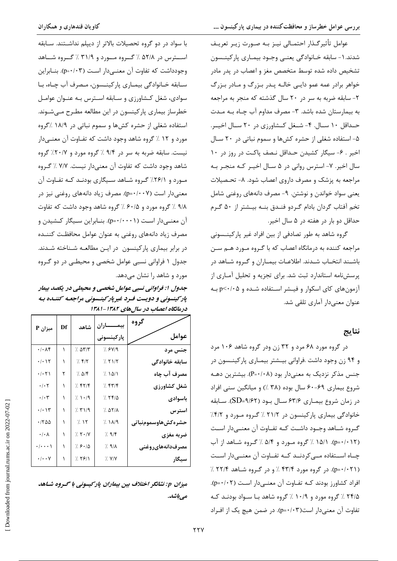کاویان قندهاری و همکاران

با سواد در دو گروه تحصیلات بالاتر از دیپلم نداشـتند. سـابقه استرس در ۵۲/۸ ٪ گیروه میورد و ۳۱/۹ ٪ گیروه شیاهد وجودداشت که تفاوت آن معنے دار است (p=٠/٠٣). بنــابراین سـابقه خــانوادگي بيمـاري پارکينــسون، مـصرف آب چــاه، بــا سوادی، شغل کـشاورزی و سـابقه اسـترس بـه عنـوان عوامـل خطرساز بیماری پارکینسون در این مطالعه مطـرح مـیشـوند. استفاده شغلی از حشره کشها و سموم نباتی در ۱۸/۹ ٪گروه مورد و ۱۲ ٪ گروه شاهد وجود داشت که تفـاوت آن معنـیدار نیست. سابقه ضربه به سر در ۹/۴ / گروه مورد و ۲۰/۷/ گروه شاهد وجود داشت كه تفاوت آن معنى دار نيست. ٧/٧ / گروه مورد و ۲۶/۱٪ گروه شاهد سیگاری بودنـد کـه تفـاوت آن معنی دار است (p=۰/۰۰۷). مصرف زیاد دانههای روغنی نیز در ۹/۸ ٪ گروه مورد و ۶۰/۵ ٪ گروه شاهد وجود داشت که تفاوت آن معنــیدار اسـت (p=٠/٠٠٠۱). بنــابراین ســیگار کــشیدن و مصرف زیاد دانههای روغنی به عنوان عوامل محافظت کننـده در برابر بیماری پارکینسون در ایـن مطالعـه شـناخته شـدند. جدول ۱ فراوانی نسبی عوامل شخصی و محیطـی در دو گـروه مورد و شاهد را نشان می دهد.

جدول ۱: فراواني نسبي عوامل شخصي و محيطي در يكصد بيمار پار کینسونی و دویست فـرد غیرپار کینــسونی مراجعـه کننــده بـه درمانگاه اعصاب در سال های ۱۳۸۲-۱۳۸۱

| P میزان                                                           | Df | شاهد       | بيمــــــاران     | گروه                 |
|-------------------------------------------------------------------|----|------------|-------------------|----------------------|
|                                                                   |    |            | پارکینسونی        | عوامل                |
| ۰/۰۸۴                                                             | ١  | 7.077      | 7. FV19           | جنس مرد              |
| $\cdot/\cdot$ \ $\Upsilon$                                        | ١  | 7.51       | 7.51/5            | سابقه خانوادگى       |
| $\cdot/\cdot$ $\uparrow$ $\uparrow$                               | ٢  | 7.018      | 7.101             | مصرف آب چاه          |
| $\boldsymbol{\cdot}\,/\boldsymbol{\cdot}\, \boldsymbol{\Upsilon}$ | ١  | 7.577      | 7.577             | شغل کشاورزی          |
| $\boldsymbol{\cdot}\,/\boldsymbol{\cdot}\, \boldsymbol{\upgamma}$ |    | 7.1.9      | 7.790             | باسوادى              |
| $\cdot/\cdot$ \ $\mathsf{y}$                                      |    | 7.51/9     | ۵۲/۸ ٪            | استرس                |
| $\cdot$ /۲۵۵                                                      |    | 7.11       | 7.119             | حشره كش هاوسمومنباتي |
| $\boldsymbol{\cdot}\,/\boldsymbol{\cdot}\,\boldsymbol{\wedge}$    |    | $7.5 - 10$ | 7.97              | ضربه مغزى            |
| $\cdot/\cdot\cdot\cdot$                                           |    | 7.8.10     | ۸/۹ ⁄∖            | مصرفدانههاىروغني     |
| $\cdot/\cdot\cdot$ Y                                              |    | 7.79/1     | $\frac{1}{2}$ Y/Y | سيگار                |

میزان p: نشانگر اختلاف بین بیماران پارکیسونی با گروه شـاهد مىباشد.

عوامل تأثير گـذار احتمـالي نيـز بـه صـورت زيـر تعريـف شدند. ۱ – سابقه خـانوادگی یعنـی وجـود بیمـاری پارکینـسون تشخیص داده شده توسط متخصص مغز و اعصاب در پدر مادر خواهر برادر عمه عمو دايـي خالـه پـدر بـزرگ و مـادر بـزرگ ٢- سابقه ضربه به سر در ٢٠ سال گذشته كه منجر به مراجعه به بیمارستان شده باشد. ۳- مصرف مداوم آب چـاه بـه مـدت حـداقل ١٠ سـال. ۴- شـغل كـشاورزي در ٢٠ سـال اخيـر. ۵- استفاده شغلی از حشره کشها و سموم نباتی در ۲۰ سـال اخير . ۶- سيگار كشيدن حـداقل نـصف پاكـت در روز در ١٠ سال اخیر. ۷- استرس روانی در ۵ سـال اخیـر کـه منجـر بـه مراجعه به پزشک و مصرف داروی اعصاب شود. ۸- تحـصیلات يعني سواد خواندن و نوشتن. ٩- مصرف دانههاي روغني شامل تخم آفتاب گردان بادام گردو فنـدق بنـه بيـشتر از ۵۰ گـرم حداقل دو بار در هفته در ۵ سال اخیر.

گروه شاهد به طور تصادفی از بین افراد غیر پارکینــسونی مراجعه کننده به درمانگاه اعصاب که با گـروه مـورد هـم سـن باشـند انتخـاب شـدند. اطلاعـات بيمـاران و گـروه شـاهد در پرسش نامه استاندارد ثبت شد. برای تجزیه و تحلیل آمـاری از آزمون های کای اسکوار و فیـشر اسـتفاده شـده و p<٠/٠۵ بـه عنوان معنے دار آماری تلقی شد.

#### نتايج

در گروه مورد ۶۸ مرد و ۳۲ زن ودر گروه شاهد ۱۰۶ مرد و ۹۴ زن وجود داشت .فراوانی بیـشتر بیمـاری پارکینـسون در جنس مذکر نزدیک به معنیدار بود (P=۰/۰۸). بیشترین دهـه شروع بیماری ۶۹-۶۰ سال بوده (۳۸ ٪) و میانگین سنی افراد در زمان شروع بیمـاری ۶۳/۶ سـال بـود (۹/۶۲=SD). سـابقه خانوادگی بیماری پارکینسون در ۲۱/۲ / گروه مورد و ۴/۲/ گـروه شـاهد وجـود داشـت كـه تفـاوت آن معنـىدار اسـت (p=٠/٠١٢). (١۵/١٪ گروه مورد و ۵/۴٪ گروه شاهد از آب چــاه اســتفاده مـــی کردنــد کــه تفــاوت آن معنــیدار اســت (p=۰/۰۲۱). در گروه مورد ۴۳/۴ / و در گروه شاهد ۲۲/۴ / افراد کشاورز بودند کـه تفـاوت آن معنــیدار اسـت (p=٠/٠٢). ۲۴/۵٪ گروه مورد و ۱۰/۹٪ گروه شاهد با سـواد بودنـد کـه تفاوت آن معنے دار است(p=٠/٠٣). در ضمن هیچ یک از افـراد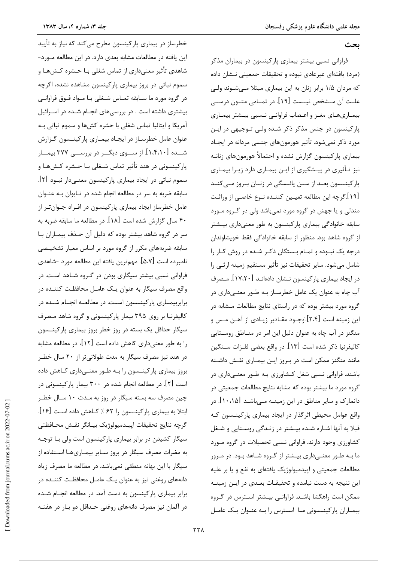ىحث

فراوانی نسبی بیشتر بیماری پارکینسون در بیماران مذکر (مرد) یافتهای غیرعادی نبوده و تحقیقات جمعیتی نـشان داده که مردان ۱/۵ برابر زنان به این بیماری مبتلا مـیشـوند ولـی علــت آن مــشخص نيــست [۱۹]. در تمــامي متــون درســي بیمـاریهـای مغـز و اعـصاب فراوانـی نـسبی بیـشتر بیمـاری پارکینسون در جنس مذکر ذکر شـده ولـی تـوجیهی در ایـن مورد ذکر نمے شود. تأثیر هورمون های جنسی مردانه در ایجـاد بیماری پارکینسون گزارش نشده و احتمالاً هورمونهای زنانـه نیز تـأثیری در پیـشگیری از ایـن بیمـاری دارد زیـرا بیمـاری پارکینــسون بعــد از ســن یائــسگی در زنــان بــروز مــیکنــد [۱۹].گرچه این مطالعه تعیـین کننـده نـوع خاصـي از وراثـت مندلي و يا جهش در گروه مورد نمي باشد ولي در گروه مورد سابقه خانوادگی بیماری پارکینسون به طور معنیداری بیـشتر از گروه شاهد بود. منظور از سابقه خانوادگی فقط خویشاوندان درجه یک نبوده و تمـام بـستگان ذکـر شـده در روش کـار را شامل می شود. سایر تحقیقات نیز تأثیر مستقیم زمینه ارثـی را در ایجاد بیماری پارکینسون نـشان دادهانـد [۱۷،۲۰]. مـصرف آب چاه به عنوان یک عامل خطرسـاز بـه طـور معنـیداری در گروه مورد بیشتر بوده که در راستای نتایج مطالعات مـشابه در این زمینه است [۲،۴].وجـود مقـادیر زیـادی از آهـن مـس و منگنز در آب چاه به عنوان دلیل این امر در منـاطق روسـتایی كاليفرنيا ذكر شده است [١٣]. در واقع بعضي فلـزات ســنگين مانند منگنز ممکن است در بروز ایـن بیمـاری نقـش داشـته باشند. فراوانی نسبی شغل کـشاورزی بـه طـور معنـیداری در گروه مورد ما بیشتر بوده که مشابه نتایج مطالعات جمعیتی در دانمارک و سایر مناطق در این زمینــه مــیباشــد [۱۰،۱۵]. در واقع عوامل محیطی اثرگذار در ایجاد بیماری پارکینـسون کـه قبلا به آنها اشـاره شـده بیـشتر در زنـدگی روسـتایی و شـغل کشاورزی وجود دارند. فراوانی نسبی تحصیلات در گروه مـورد ما بـه طـور معنــیداری بیــشتر از گــروه شــاهد بــود. در مــرور مطالعات جمعیتی و اپیدمیولوژیک یافتهای به نفع و یا بر علیه این نتیجه به دست نیامده و تحقیقـات بعـدی در ایـن زمینـه ممکن است راهگشا باشد. فراوانبی بیـشتر اسـترس در گـروه بیماران پارکینـسونی مـا اسـترس را بـه عنـوان یـک عامـل

خطرساز در بیماری پارکینسون مطرح میکند که نیاز به تأیید این یافته در مطالعات مشابه بعدی دارد. در این مطالعه مـورد-شاهدی تأثیر معنیداری از تماس شغلی بـا حـشره کـش۵ـا و سموم نباتی در بروز بیماری پارکینسون مشاهده نشده، اگرچه در گروه مورد ما سـابقه تمـاس شـغلى بـا مـواد فـوق فراوانـى بیشتری داشته است . در بررسیهای انجـام شـده در اسـرائیل آمریکا و ایتالیا تماس شغلی با حشره کشها و سموم نباتی بـه عنوان عامل خطرسـاز در ايجـاد بيمـاري پاركينـسون گـزارش شــده [۱٬۴٬۱۰]. از ســـوی دیگـــر در بررســـی ۳۷۷ بیمـــار پارکینسونی در هند تأثیر تماس شـغلی بـا حـشره کـشهـا و سموم نباتی در ایجاد بیماری پارکینسون معنـیدار نبـود [۲]. سابقه ضربه به سر در مطالعه انجام شده در تـایوان بـه عنـوان عامل خطرساز ایجاد بیماری پارکینسون در افـراد جـوان تـر از ۴۰ سال گزارش شده است [۱۸]. در مطالعه ما سابقه ضربه به سر در گروه شاهد بیشتر بوده که دلیل آن حـذف بیمـاران بـا سابقه ضربههای مکرر از گروه مورد بر اساس معیار تشخیصی نامبرده است [۵،۷]. مهمترین یافته این مطالعه مورد -شاهدی فراوانی نسبی بیشتر سیگاری بودن در گـروه شـاهد اسـت. در واقع مصرف سیگار به عنوان یک عامل محافظت کننـده در برابربیمــاری پارکینــسون اســت. در مطالعــه انجــام شــده در کالیفرنیا بر روی ۳۹۵ بیمار پارکینسونی و گروه شاهد مصرف سیگار حداقل یک بسته در روز خطر بروز بیماری پارکینـسون را به طور معنىدارى كاهش داده است [١٢]، در مطالعه مشابه در هند نیز مصرف سیگار به مدت طولانیتر از ۲۰ سال خطـر بروز بیماری پارکینـسون را بـه طـور معنـیداری کـاهش داده است [۲]. در مطالعه انجام شده در ۳۰۰ بیمار پارکینسونی در چین مصرف سه بسته سیگار در روز به مـدت ۱۰ سـال خطـر ابتلا به بیماری پارکینـسون ,ا ۶۲ ٪ کـاهش داده اسـت [۱۶]. گرچه نتايج تحقيقات اپيـدميولوژيک بيـانگر نقـش محـافظتى سیگار کشیدن در برابر بیماری پارکینسون است ولی بـا توجـه به مضرات مصرف سیگار در بروز سـایر بیمـاریهـا اسـتفاده از سیگار با این بهانه منطقی نمیباشد. در مطالعه ما مصرف زیاد دانههای روغنی نیز به عنوان یک عامـل محافظـت کننــده در برابر بیماری پارکینسون به دست آمد. در مطالعه انجـام شـده در آلمان نیز مصرف دانههای روغنی حـداقل دو بـار در هفتـه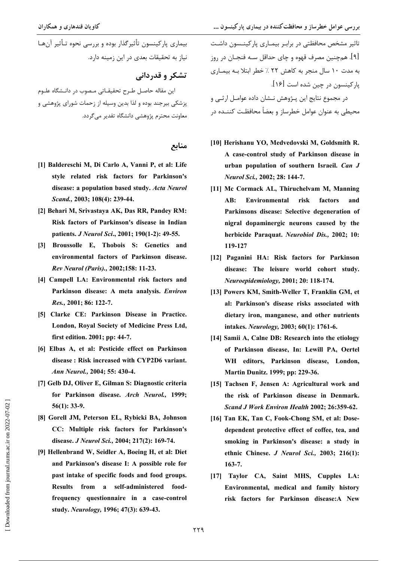بیماری یارکینسون تأثیرگذار بوده و بررسی نحوه تـأثیر آنهـا نياز به تحقيقات بعدي در اين زمينه دارد.

### تشکر و قدردانی

این مقاله حاصـل طـرح تحقیقـاتی مـصوب در دانـشگاه علـوم یزشکی بیرجند بوده و لذا بدین وسیله از زحمات شورای پژوهشی و معاونت محترم بژوهشی دانشگاه تقدیر می گردد.

#### منابع

- [1] Baldereschi M, Di Carlo A, Vanni P, et al: Life style related risk factors for Parkinson's disease: a population based study, Acta Neurol Scand., 2003; 108(4): 239-44.
- [2] Behari M. Srivastava AK. Das RR. Pandev RM: Risk factors of Parkinson's disease in Indian patients. *J Neurol Sci.*, 2001; 190(1-2): 49-55.
- [3] Broussolle E, Thobois S: Genetics and environmental factors of Parkinson disease. Rev Neurol (Paris)., 2002:158: 11-23.
- [4] Campell LA: Environmental risk factors and Parkinson disease: A meta analysis. Environ Res., 2001; 86: 122-7.
- [5] Clarke CE: Parkinson Disease in Practice. London, Royal Society of Medicine Press Ltd, first edition. 2001: pp: 44-7.
- [6] Elbas A, et al: Pesticide effect on Parkinson disease: Risk increased with CYP2D6 variant. Ann Neurol., 2004; 55: 430-4.
- [7] Gelb DJ, Oliver E, Gilman S: Diagnostic criteria for Parkinson disease. Arch Neurol., 1999;  $56(1): 33-9.$
- [8] Gorell JM, Peterson EL, Rybicki BA, Johnson CC: Multiple risk factors for Parkinson's disease. J Neurol Sci., 2004; 217(2): 169-74.
- [9] Hellenbrand W, Seidler A, Boeing H, et al: Diet and Parkinson's disease I: A possible role for past intake of specific foods and food groups. Results from a self-administered foodfrequency questionnaire in a case-control study. Neurology, 1996; 47(3): 639-43.

۔<br>تاثیر مشخص محافظتی در برابـر بیمـاری پارکینــسون داشـت [۹]. همچنين مصرف قهوه و چاي حداقل سـه فنجـان در روز به مدت ١٠ سال منجر به كاهش ٢٢ ٪ خطر ابتلا بـه بيمـارى يا, کينسون در چين شده است [۱۶].

در مجموع نتایج این پـژوهش نــشان داده عوامــل ارثــی و محیطی به عنوان عوامل خطرساز و بعضاً محافظـت کننــده در

- [10] Herishanu YO, Medvedovski M, Goldsmith R. A case-control study of Parkinson disease in urban population of southern Israeil. Can J Neurol Sci., 2002; 28: 144-7.
- [11] Mc Cormack AL, Thiruchelvam M, Manning **Environmental** risk AB: factors and Parkinsons disease: Selective degeneration of nigral dopaminergic neurons caused by the herbicide Paraquat. Neurobiol Dis., 2002; 10: 119-127
- [12] Paganini HA: Risk factors for Parkinson disease: The leisure world cohort study. Neuroepidemiology, 2001; 20: 118-174.
- [13] Powers KM, Smith-Weller T, Franklin GM, et al: Parkinson's disease risks associated with dietary iron, manganese, and other nutrients intakes. Neurology, 2003; 60(1): 1761-6.
- [14] Samii A, Calne DB: Research into the etiology of Parkinson disease, In: Lewill PA, Oertel WH editors, Parkinson disease, London, Martin Dunitz. 1999; pp: 229-36.
- [15] Tachsen F, Jensen A: Agricultural work and the risk of Parkinson disease in Denmark. Scand J Work Environ Health 2002; 26:359-62.
- [16] Tan EK, Tan C, Fook-Chong SM, et al: Dosedependent protective effect of coffee, tea, and smoking in Parkinson's disease: a study in ethnic Chinese. J Neurol Sci., 2003; 216(1):  $163 - 7.$
- [17] Taylor CA, Saint MHS, Cupples LA: Environmental, medical and family history risk factors for Parkinson disease:A New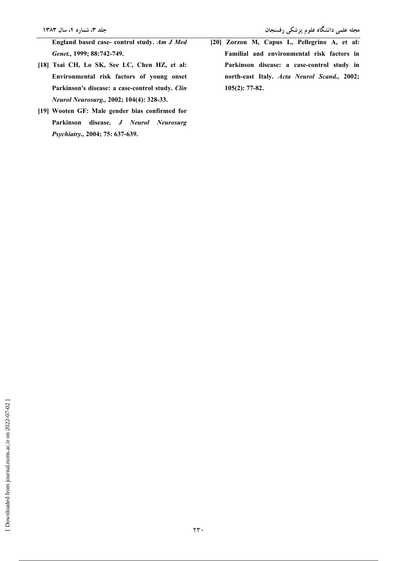- [18] Tsai CH, Lo SK, See LC, Chen HZ, et al: Environmental risk factors of young onset Parkinson's disease: a case-control study. Clin Neurol Neurosurg., 2002; 104(4): 328-33.
- [19] Wooten GF: Male gender bias confirmed for Parkinson disease. J Neurol Neurosurg Psychiatry., 2004; 75: 637-639.

[20] Zorzon M, Capus L, Pellegrino A, et al: Familial and environmental risk factors in Parkinson disease: a case-control study in north-east Italy. Acta Neurol Scand., 2002;  $105(2): 77-82.$